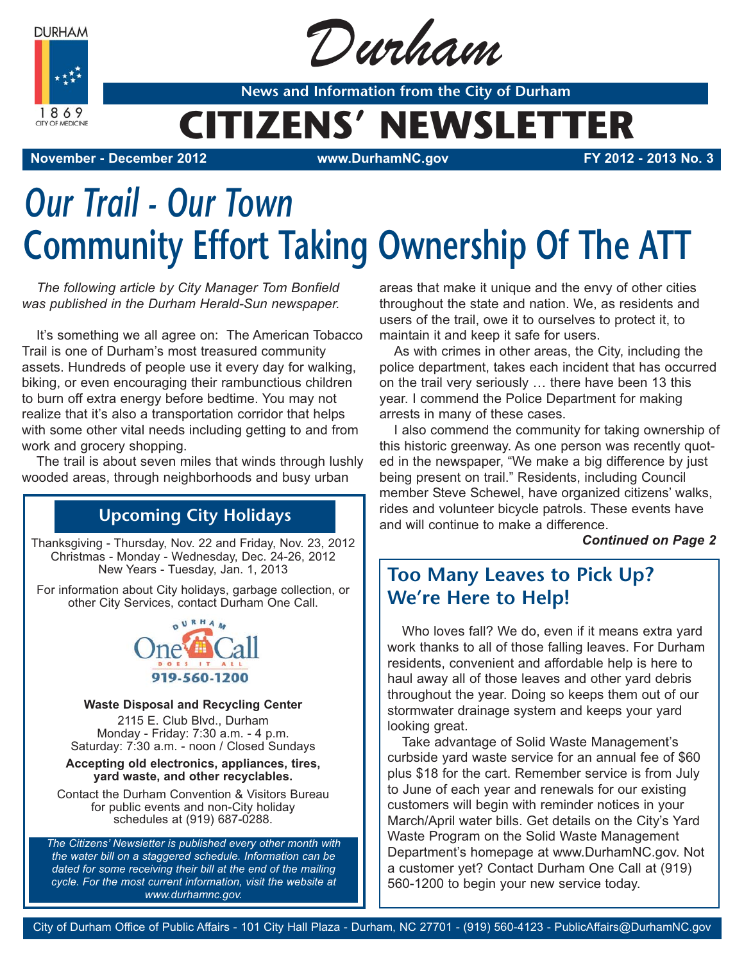**DURHAM** 



Durham

**News and Information from the City of Durham**

## **CITIZENS' NEWSLETTER**

**November - December 2012 www.DurhamNC.gov FY 2012 - 2013 No. 3**

# *Our Trail - Our Town* **Community Effort Taking Ownership Of The ATT**

*The following article by City Manager Tom Bonfield was published in the Durham Herald-Sun newspaper.*

It's something we all agree on: The American Tobacco Trail is one of Durham's most treasured community assets. Hundreds of people use it every day for walking, biking, or even encouraging their rambunctious children to burn off extra energy before bedtime. You may not realize that it's also a transportation corridor that helps with some other vital needs including getting to and from work and grocery shopping.

The trail is about seven miles that winds through lushly wooded areas, through neighborhoods and busy urban

## **Upcoming City Holidays**

Thanksgiving - Thursday, Nov. 22 and Friday, Nov. 23, 2012 Christmas - Monday - Wednesday, Dec. 24-26, 2012 New Years - Tuesday, Jan. 1, 2013

For information about City holidays, garbage collection, or other City Services, contact Durham One Call.



#### **Waste Disposal and Recycling Center**

2115 E. Club Blvd., Durham Monday - Friday: 7:30 a.m. - 4 p.m. Saturday: 7:30 a.m. - noon / Closed Sundays

#### **Accepting old electronics, appliances, tires, yard waste, and other recyclables.**

Contact the Durham Convention & Visitors Bureau for public events and non-City holiday schedules at (919) 687-0288.

*The Citizens' Newsletter is published every other month with the water bill on a staggered schedule. Information can be dated for some receiving their bill at the end of the mailing cycle. For the most current information, visit the website at www.durhamnc.gov.*

areas that make it unique and the envy of other cities throughout the state and nation. We, as residents and users of the trail, owe it to ourselves to protect it, to maintain it and keep it safe for users.

As with crimes in other areas, the City, including the police department, takes each incident that has occurred on the trail very seriously … there have been 13 this year. I commend the Police Department for making arrests in many of these cases.

I also commend the community for taking ownership of this historic greenway. As one person was recently quoted in the newspaper, "We make a big difference by just being present on trail." Residents, including Council member Steve Schewel, have organized citizens' walks, rides and volunteer bicycle patrols. These events have and will continue to make a difference.

*Continued on Page 2*

## **Too Many Leaves to Pick Up? We're Here to Help!**

Who loves fall? We do, even if it means extra yard work thanks to all of those falling leaves. For Durham residents, convenient and affordable help is here to haul away all of those leaves and other yard debris throughout the year. Doing so keeps them out of our stormwater drainage system and keeps your yard looking great.

Take advantage of Solid Waste Management's curbside yard waste service for an annual fee of \$60 plus \$18 for the cart. Remember service is from July to June of each year and renewals for our existing customers will begin with reminder notices in your March/April water bills. Get details on the City's Yard Waste Program on the Solid Waste Management Department's homepage at www.DurhamNC.gov. Not a customer yet? Contact Durham One Call at (919) 560-1200 to begin your new service today.